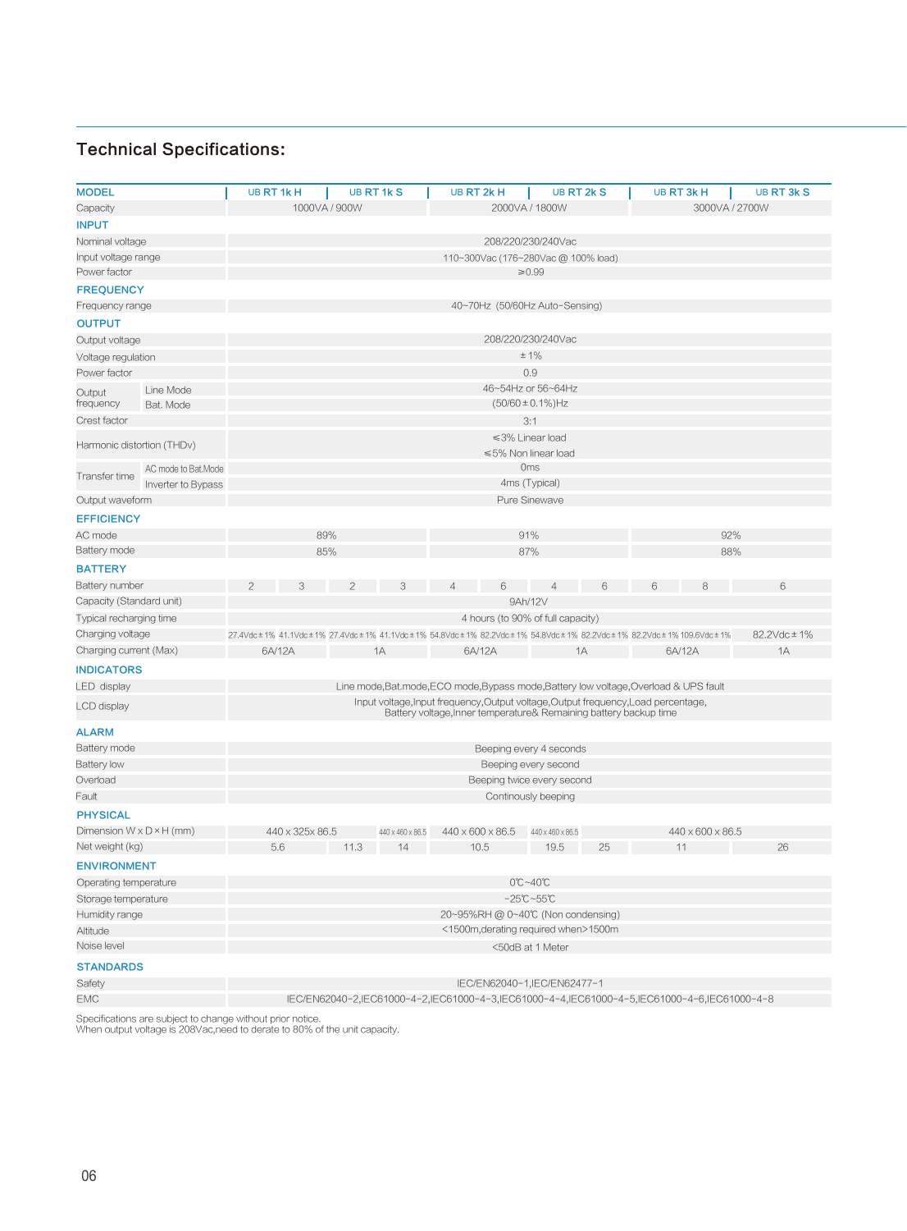| <b>MODEL</b>                         |                     | UB RT 1kH<br><b>UB RT 1k S</b>                                                                                                                     |                 | UB RT 2kH<br>UB RT 2k S |                  |  | UB RT 3k H<br>UB RT 3k S |                                |     |     |                  |    |
|--------------------------------------|---------------------|----------------------------------------------------------------------------------------------------------------------------------------------------|-----------------|-------------------------|------------------|--|--------------------------|--------------------------------|-----|-----|------------------|----|
| Capacity                             |                     | 1000VA / 900W<br>2000VA / 1800W<br>3000VA / 2700W                                                                                                  |                 |                         |                  |  |                          |                                |     |     |                  |    |
| <b>INPUT</b>                         |                     |                                                                                                                                                    |                 |                         |                  |  |                          |                                |     |     |                  |    |
| Nominal voltage                      |                     |                                                                                                                                                    |                 |                         |                  |  |                          | 208/220/230/240Vac             |     |     |                  |    |
| Input voltage range<br>Power factor  |                     | 110~300Vac (176~280Vac @ 100% load)<br>$\geq 0.99$                                                                                                 |                 |                         |                  |  |                          |                                |     |     |                  |    |
| <b>FREQUENCY</b>                     |                     |                                                                                                                                                    |                 |                         |                  |  |                          |                                |     |     |                  |    |
| Frequency range                      |                     |                                                                                                                                                    |                 |                         |                  |  |                          | 40~70Hz (50/60Hz Auto-Sensing) |     |     |                  |    |
| <b>OUTPUT</b>                        |                     |                                                                                                                                                    |                 |                         |                  |  |                          |                                |     |     |                  |    |
| Output voltage                       |                     | 208/220/230/240Vac                                                                                                                                 |                 |                         |                  |  |                          |                                |     |     |                  |    |
| Voltage regulation                   |                     | ±1%                                                                                                                                                |                 |                         |                  |  |                          |                                |     |     |                  |    |
| Power factor                         |                     | 0.9                                                                                                                                                |                 |                         |                  |  |                          |                                |     |     |                  |    |
| Output                               | Line Mode           | 46~54Hz or 56~64Hz                                                                                                                                 |                 |                         |                  |  |                          |                                |     |     |                  |    |
| frequency                            | Bat. Mode           | $(50/60 \pm 0.1\%)$ Hz                                                                                                                             |                 |                         |                  |  |                          |                                |     |     |                  |    |
| Crest factor                         |                     |                                                                                                                                                    | 3:1             |                         |                  |  |                          |                                |     |     |                  |    |
|                                      |                     |                                                                                                                                                    |                 |                         |                  |  |                          | ≤3% Linear load                |     |     |                  |    |
| Harmonic distortion (THDv)           |                     |                                                                                                                                                    |                 |                         |                  |  |                          | ≤5% Non linear load            |     |     |                  |    |
|                                      | AC mode to Bat.Mode | <b>Oms</b>                                                                                                                                         |                 |                         |                  |  |                          |                                |     |     |                  |    |
| Transfer time                        | Inverter to Bypass  |                                                                                                                                                    |                 |                         |                  |  |                          | 4ms (Typical)                  |     |     |                  |    |
| Output waveform                      |                     |                                                                                                                                                    |                 |                         |                  |  |                          | Pure Sinewave                  |     |     |                  |    |
| <b>EFFICIENCY</b>                    |                     |                                                                                                                                                    |                 |                         |                  |  |                          |                                |     |     |                  |    |
| AC mode                              |                     | 89%<br>91%                                                                                                                                         |                 |                         |                  |  |                          |                                | 92% |     |                  |    |
| Battery mode                         |                     |                                                                                                                                                    | 85%             |                         |                  |  |                          | 87%                            |     | 88% |                  |    |
| <b>BATTERY</b>                       |                     |                                                                                                                                                    |                 |                         |                  |  |                          |                                |     |     |                  |    |
| Battery number                       |                     |                                                                                                                                                    | 3               | 2                       | 3                |  |                          | $\overline{4}$                 | 6   |     | 8                | 6  |
| Capacity (Standard unit)             |                     |                                                                                                                                                    |                 |                         |                  |  |                          | 9Ah/12V                        |     |     |                  |    |
| Typical recharging time              |                     | 4 hours (to 90% of full capacity)                                                                                                                  |                 |                         |                  |  |                          |                                |     |     |                  |    |
| Charging voltage                     |                     | 82.2Vdc ± 1%<br>27.4Vdc ± 1% 41.1Vdc ± 1% 27.4Vdc ± 1% 41.1Vdc ± 1% 54.8Vdc ± 1% 82.2Vdc ± 1% 54.8Vdc ± 1% 82.2Vdc ± 1% 82.2Vdc ± 1% 109.6Vdc ± 1% |                 |                         |                  |  |                          |                                |     |     |                  |    |
| Charging current (Max)               |                     | 6A/12A<br>1A                                                                                                                                       |                 |                         | 6A/12A<br>1A     |  | 6A/12A                   |                                | 1A  |     |                  |    |
|                                      |                     |                                                                                                                                                    |                 |                         |                  |  |                          |                                |     |     |                  |    |
| <b>INDICATORS</b><br>LED display     |                     | Line mode, Bat.mode, ECO mode, Bypass mode, Battery low voltage, Overload & UPS fault                                                              |                 |                         |                  |  |                          |                                |     |     |                  |    |
|                                      |                     | Input voltage, Input frequency, Output voltage, Output frequency, Load percentage,                                                                 |                 |                         |                  |  |                          |                                |     |     |                  |    |
| LCD display                          |                     | Battery voltage, Inner temperature& Remaining battery backup time                                                                                  |                 |                         |                  |  |                          |                                |     |     |                  |    |
| <b>ALARM</b>                         |                     |                                                                                                                                                    |                 |                         |                  |  |                          |                                |     |     |                  |    |
| Battery mode                         |                     | Beeping every 4 seconds                                                                                                                            |                 |                         |                  |  |                          |                                |     |     |                  |    |
| Battery low<br>Overload              |                     | Beeping every second<br>Beeping twice every second                                                                                                 |                 |                         |                  |  |                          |                                |     |     |                  |    |
| Fault                                |                     | Continously beeping                                                                                                                                |                 |                         |                  |  |                          |                                |     |     |                  |    |
|                                      |                     |                                                                                                                                                    |                 |                         |                  |  |                          |                                |     |     |                  |    |
| <b>PHYSICAL</b>                      |                     |                                                                                                                                                    |                 |                         |                  |  |                          |                                |     |     |                  |    |
| Dimension $W \times D \times H$ (mm) |                     |                                                                                                                                                    | 440 x 325x 86.5 |                         | 440 x 460 x 86.5 |  | 440 x 600 x 86.5         | 440 x 460 x 86.5               |     |     | 440 x 600 x 86.5 |    |
| Net weight (kg)                      |                     | 5.6                                                                                                                                                |                 | 11.3                    | 14               |  | 10.5                     | 19.5                           | 25  |     | 11               | 26 |
| <b>ENVIRONMENT</b>                   |                     |                                                                                                                                                    |                 |                         |                  |  |                          |                                |     |     |                  |    |
| Operating temperature                |                     | 0℃~40℃                                                                                                                                             |                 |                         |                  |  |                          |                                |     |     |                  |    |
| Storage temperature                  |                     | $-25^{\circ}\text{C}-55^{\circ}\text{C}$                                                                                                           |                 |                         |                  |  |                          |                                |     |     |                  |    |
| Humidity range                       |                     | 20~95%RH @ 0~40℃ (Non condensing)                                                                                                                  |                 |                         |                  |  |                          |                                |     |     |                  |    |
| Altitude                             |                     | <1500m, derating required when>1500m                                                                                                               |                 |                         |                  |  |                          |                                |     |     |                  |    |
| Noise level                          |                     | <50dB at 1 Meter                                                                                                                                   |                 |                         |                  |  |                          |                                |     |     |                  |    |
| <b>STANDARDS</b>                     |                     |                                                                                                                                                    |                 |                         |                  |  |                          |                                |     |     |                  |    |
| Safety                               |                     | IEC/EN62040-1, IEC/EN62477-1                                                                                                                       |                 |                         |                  |  |                          |                                |     |     |                  |    |
| <b>EMC</b>                           |                     | IEC/EN62040-2,IEC61000-4-2,IEC61000-4-3,IEC61000-4-4,IEC61000-4-5,IEC61000-4-6,IEC61000-4-8                                                        |                 |                         |                  |  |                          |                                |     |     |                  |    |

Specifications are subject to change without prior notice. When output voltage is 208Vac,need to derate to 80% of the unit capacity.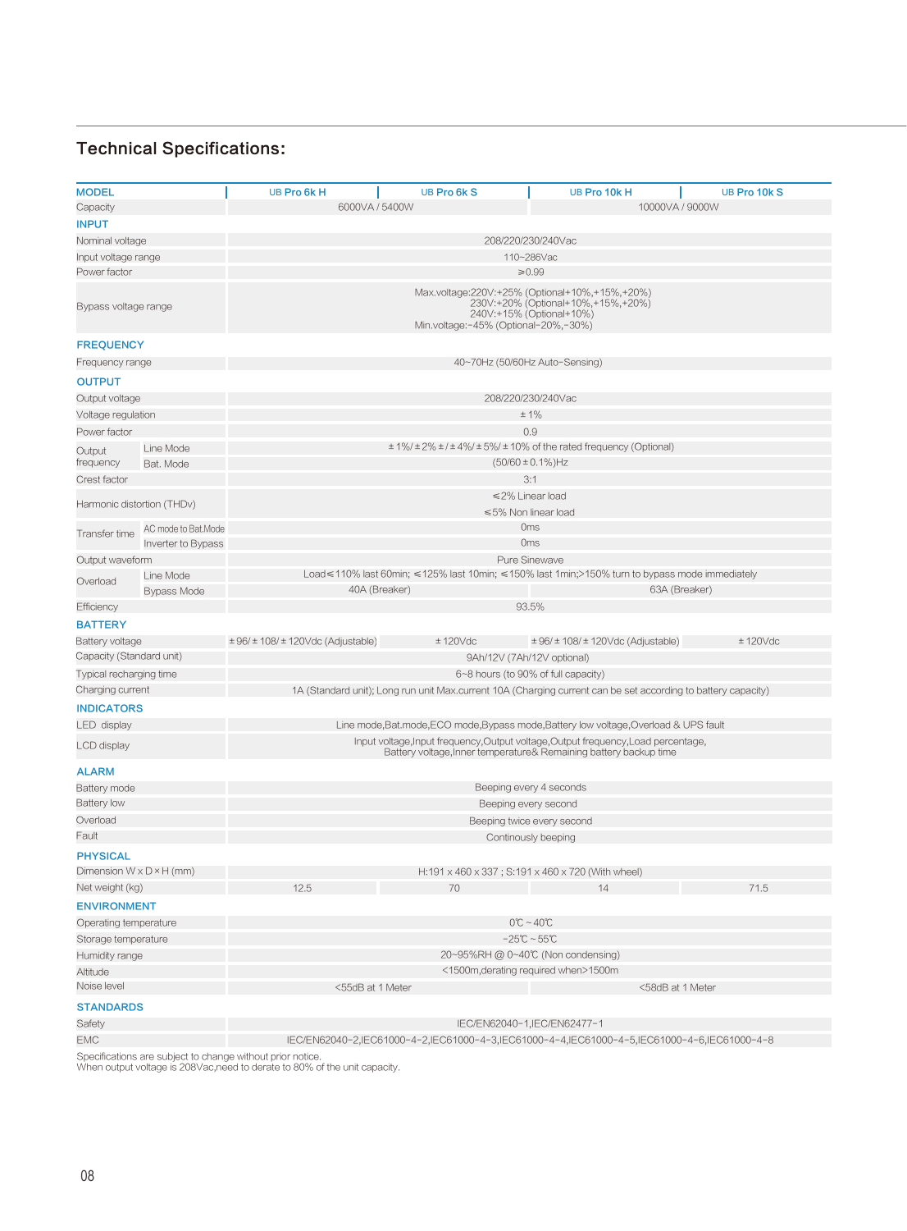| <b>MODEL</b>                         |                                 | UB Pro 6kH                                                                                                                                               | UB Pro 6k S                                                                                                                | UB Pro 10k H                                       | UB Pro 10k S     |  |  |  |  |  |
|--------------------------------------|---------------------------------|----------------------------------------------------------------------------------------------------------------------------------------------------------|----------------------------------------------------------------------------------------------------------------------------|----------------------------------------------------|------------------|--|--|--|--|--|
| Capacity                             |                                 | 6000VA / 5400W<br>10000VA / 9000W                                                                                                                        |                                                                                                                            |                                                    |                  |  |  |  |  |  |
| <b>INPUT</b>                         |                                 |                                                                                                                                                          |                                                                                                                            |                                                    |                  |  |  |  |  |  |
| Nominal voltage                      |                                 | 208/220/230/240Vac                                                                                                                                       |                                                                                                                            |                                                    |                  |  |  |  |  |  |
| Input voltage range                  |                                 |                                                                                                                                                          |                                                                                                                            | 110~286Vac                                         |                  |  |  |  |  |  |
| Power factor                         |                                 |                                                                                                                                                          |                                                                                                                            | $\geq 0.99$                                        |                  |  |  |  |  |  |
| Bypass voltage range                 |                                 | Max.voltage:220V:+25% (Optional+10%,+15%,+20%)<br>230V:+20% (Optional+10%,+15%,+20%)<br>240V:+15% (Optional+10%)<br>Min.voltage:-45% (Optional-20%,-30%) |                                                                                                                            |                                                    |                  |  |  |  |  |  |
| <b>FREQUENCY</b>                     |                                 |                                                                                                                                                          |                                                                                                                            |                                                    |                  |  |  |  |  |  |
| Frequency range                      |                                 | 40~70Hz (50/60Hz Auto-Sensing)                                                                                                                           |                                                                                                                            |                                                    |                  |  |  |  |  |  |
| <b>OUTPUT</b>                        |                                 |                                                                                                                                                          |                                                                                                                            |                                                    |                  |  |  |  |  |  |
| Output voltage                       |                                 | 208/220/230/240Vac                                                                                                                                       |                                                                                                                            |                                                    |                  |  |  |  |  |  |
| Voltage regulation                   |                                 | ±1%                                                                                                                                                      |                                                                                                                            |                                                    |                  |  |  |  |  |  |
| Power factor                         |                                 | 0.9                                                                                                                                                      |                                                                                                                            |                                                    |                  |  |  |  |  |  |
| Output                               | Line Mode                       | ± 1%/ ± 2% ± / ± 4%/ ± 5%/ ± 10% of the rated frequency (Optional)                                                                                       |                                                                                                                            |                                                    |                  |  |  |  |  |  |
| frequency                            | Bat. Mode                       |                                                                                                                                                          |                                                                                                                            | $(50/60 \pm 0.1\%)$ Hz                             |                  |  |  |  |  |  |
| Crest factor                         |                                 |                                                                                                                                                          |                                                                                                                            | 3:1                                                |                  |  |  |  |  |  |
| Harmonic distortion (THDv)           |                                 | ≤2% Linear load                                                                                                                                          |                                                                                                                            |                                                    |                  |  |  |  |  |  |
|                                      |                                 | ≤5% Non linear load                                                                                                                                      |                                                                                                                            |                                                    |                  |  |  |  |  |  |
| Transfer time                        | AC mode to Bat.Mode             | <b>Oms</b>                                                                                                                                               |                                                                                                                            |                                                    |                  |  |  |  |  |  |
|                                      | Inverter to Bypass              | <b>Oms</b>                                                                                                                                               |                                                                                                                            |                                                    |                  |  |  |  |  |  |
| Output waveform                      |                                 | Pure Sinewave<br>Load≤110% last 60min; ≤125% last 10min; ≤150% last 1min;>150% turn to bypass mode immediately                                           |                                                                                                                            |                                                    |                  |  |  |  |  |  |
| Overload                             | Line Mode<br><b>Bypass Mode</b> | 40A (Breaker)<br>63A (Breaker)                                                                                                                           |                                                                                                                            |                                                    |                  |  |  |  |  |  |
| Efficiency                           |                                 | 93.5%                                                                                                                                                    |                                                                                                                            |                                                    |                  |  |  |  |  |  |
| <b>BATTERY</b>                       |                                 |                                                                                                                                                          |                                                                                                                            |                                                    |                  |  |  |  |  |  |
| Battery voltage                      |                                 | $\pm$ 96/ $\pm$ 108/ $\pm$ 120Vdc (Adjustable)                                                                                                           | ± 120Vdc                                                                                                                   | $\pm$ 96/ $\pm$ 108/ $\pm$ 120Vdc (Adjustable)     | $± 120$ Vdc      |  |  |  |  |  |
| Capacity (Standard unit)             |                                 | 9Ah/12V (7Ah/12V optional)                                                                                                                               |                                                                                                                            |                                                    |                  |  |  |  |  |  |
| Typical recharging time              |                                 | 6~8 hours (to 90% of full capacity)                                                                                                                      |                                                                                                                            |                                                    |                  |  |  |  |  |  |
| Charging current                     |                                 | 1A (Standard unit); Long run unit Max.current 10A (Charging current can be set according to battery capacity)                                            |                                                                                                                            |                                                    |                  |  |  |  |  |  |
| <b>INDICATORS</b>                    |                                 |                                                                                                                                                          |                                                                                                                            |                                                    |                  |  |  |  |  |  |
| <b>LED</b> display                   |                                 | Line mode, Bat.mode, ECO mode, Bypass mode, Battery low voltage, Overload & UPS fault                                                                    |                                                                                                                            |                                                    |                  |  |  |  |  |  |
| LCD display                          |                                 | Input voltage, Input frequency, Output voltage, Output frequency, Load percentage,<br>Battery voltage, Inner temperature& Remaining battery backup time  |                                                                                                                            |                                                    |                  |  |  |  |  |  |
| <b>ALARM</b>                         |                                 |                                                                                                                                                          |                                                                                                                            |                                                    |                  |  |  |  |  |  |
| Battery mode                         |                                 | Beeping every 4 seconds                                                                                                                                  |                                                                                                                            |                                                    |                  |  |  |  |  |  |
| <b>Battery low</b>                   |                                 | Beeping every second                                                                                                                                     |                                                                                                                            |                                                    |                  |  |  |  |  |  |
| Overload                             |                                 | Beeping twice every second                                                                                                                               |                                                                                                                            |                                                    |                  |  |  |  |  |  |
| Fault                                |                                 |                                                                                                                                                          |                                                                                                                            | Continously beeping                                |                  |  |  |  |  |  |
| <b>PHYSICAL</b>                      |                                 |                                                                                                                                                          |                                                                                                                            |                                                    |                  |  |  |  |  |  |
| Dimension $W \times D \times H$ (mm) |                                 |                                                                                                                                                          |                                                                                                                            | H:191 x 460 x 337 ; S:191 x 460 x 720 (With wheel) |                  |  |  |  |  |  |
| Net weight (kg)                      |                                 | 12.5                                                                                                                                                     | 70                                                                                                                         | 14                                                 | 71.5             |  |  |  |  |  |
| <b>ENVIRONMENT</b>                   |                                 |                                                                                                                                                          |                                                                                                                            |                                                    |                  |  |  |  |  |  |
| Operating temperature                |                                 | $0^{\circ}C - 40^{\circ}C$                                                                                                                               |                                                                                                                            |                                                    |                  |  |  |  |  |  |
| Storage temperature                  |                                 | $-25^{\circ}\text{C} \sim 55^{\circ}\text{C}$                                                                                                            |                                                                                                                            |                                                    |                  |  |  |  |  |  |
| Humidity range                       |                                 | 20~95%RH @ 0~40℃ (Non condensing)                                                                                                                        |                                                                                                                            |                                                    |                  |  |  |  |  |  |
| Altitude<br>Noise level              |                                 | <1500m, derating required when>1500m<br><55dB at 1 Meter                                                                                                 |                                                                                                                            |                                                    |                  |  |  |  |  |  |
|                                      |                                 |                                                                                                                                                          |                                                                                                                            |                                                    | <58dB at 1 Meter |  |  |  |  |  |
| <b>STANDARDS</b>                     |                                 |                                                                                                                                                          |                                                                                                                            |                                                    |                  |  |  |  |  |  |
| Safety                               |                                 |                                                                                                                                                          | IEC/EN62040-1,IEC/EN62477-1<br>IEC/EN62040-2,IEC61000-4-2,IEC61000-4-3,IEC61000-4-4,IEC61000-4-5,IEC61000-4-6,IEC61000-4-8 |                                                    |                  |  |  |  |  |  |
| <b>EMC</b>                           |                                 |                                                                                                                                                          |                                                                                                                            |                                                    |                  |  |  |  |  |  |

Specifications are subject to change without prior notice. When output voltage is 208Vac,need to derate to 80% of the unit capacity.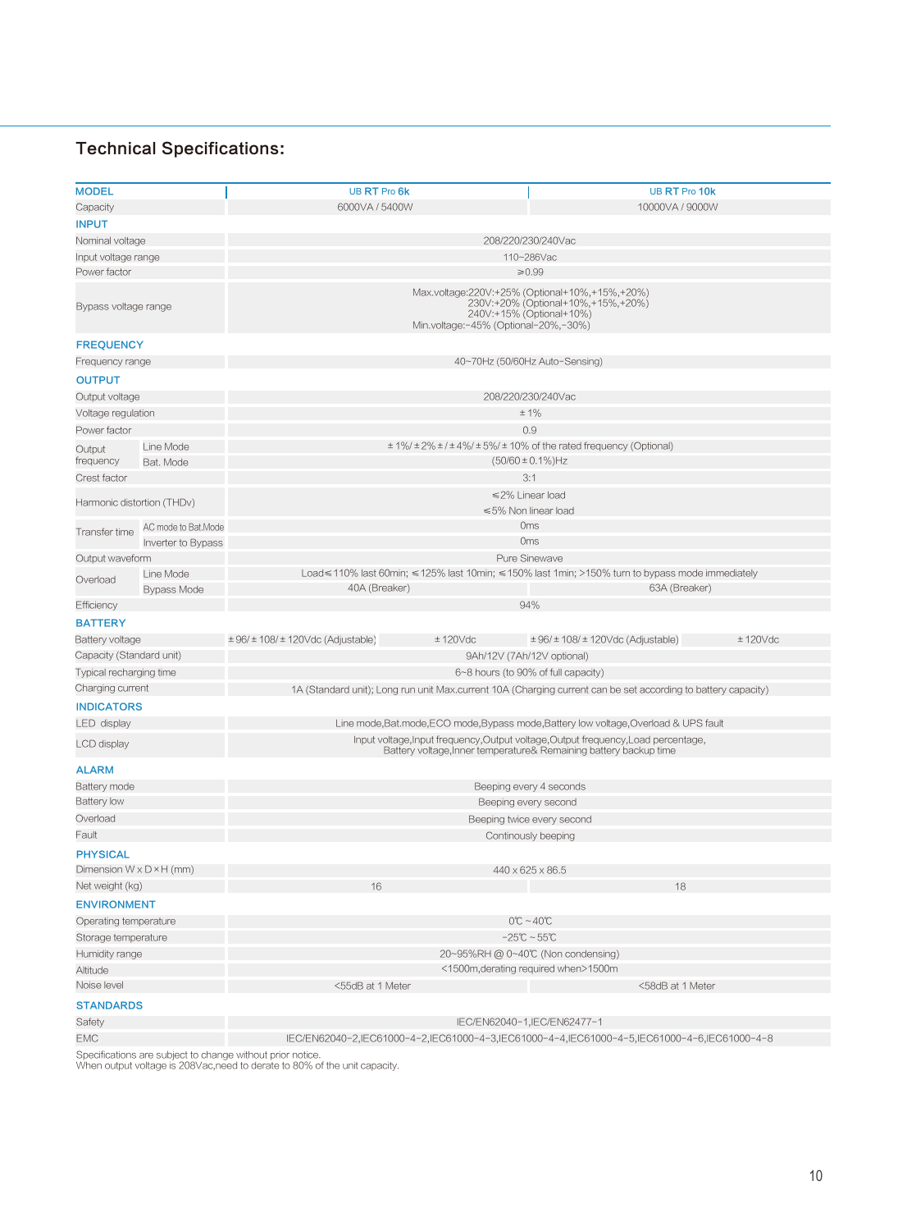| <b>MODEL</b>                         |                            | UB RT Pro 6k                                                                                                                                             | UB RT Pro 10k                                                                                  |  |  |  |  |  |  |
|--------------------------------------|----------------------------|----------------------------------------------------------------------------------------------------------------------------------------------------------|------------------------------------------------------------------------------------------------|--|--|--|--|--|--|
| Capacity                             |                            | 6000VA / 5400W<br>10000VA / 9000W                                                                                                                        |                                                                                                |  |  |  |  |  |  |
| <b>INPUT</b>                         |                            |                                                                                                                                                          |                                                                                                |  |  |  |  |  |  |
| Nominal voltage                      |                            | 208/220/230/240Vac                                                                                                                                       |                                                                                                |  |  |  |  |  |  |
| Input voltage range                  |                            |                                                                                                                                                          | 110~286Vac                                                                                     |  |  |  |  |  |  |
| Power factor                         |                            |                                                                                                                                                          | ≥ 0.99                                                                                         |  |  |  |  |  |  |
| Bypass voltage range                 |                            | Max.voltage:220V:+25% (Optional+10%,+15%,+20%)<br>230V:+20% (Optional+10%,+15%,+20%)<br>240V:+15% (Optional+10%)<br>Min.voltage:-45% (Optional-20%,-30%) |                                                                                                |  |  |  |  |  |  |
| <b>FREQUENCY</b>                     |                            |                                                                                                                                                          |                                                                                                |  |  |  |  |  |  |
| Frequency range                      |                            | 40~70Hz (50/60Hz Auto-Sensing)                                                                                                                           |                                                                                                |  |  |  |  |  |  |
| <b>OUTPUT</b>                        |                            |                                                                                                                                                          |                                                                                                |  |  |  |  |  |  |
| Output voltage                       |                            | 208/220/230/240Vac                                                                                                                                       |                                                                                                |  |  |  |  |  |  |
| Voltage regulation                   |                            | $±1\%$                                                                                                                                                   |                                                                                                |  |  |  |  |  |  |
| Power factor                         |                            | 0.9                                                                                                                                                      |                                                                                                |  |  |  |  |  |  |
|                                      | Line Mode                  |                                                                                                                                                          | $\pm$ 1%/ $\pm$ 2% $\pm$ / $\pm$ 4%/ $\pm$ 5%/ $\pm$ 10% of the rated frequency (Optional)     |  |  |  |  |  |  |
| Output<br>frequency                  | Bat. Mode                  |                                                                                                                                                          | $(50/60 \pm 0.1\%)$ Hz                                                                         |  |  |  |  |  |  |
| Crest factor                         |                            |                                                                                                                                                          | 3:1                                                                                            |  |  |  |  |  |  |
|                                      |                            |                                                                                                                                                          | ≤2% Linear load                                                                                |  |  |  |  |  |  |
|                                      | Harmonic distortion (THDv) | ≤5% Non linear load                                                                                                                                      |                                                                                                |  |  |  |  |  |  |
| Transfer time                        | AC mode to Bat.Mode        |                                                                                                                                                          | 0 <sub>ms</sub>                                                                                |  |  |  |  |  |  |
|                                      | Inverter to Bypass         | 0 <sub>ms</sub>                                                                                                                                          |                                                                                                |  |  |  |  |  |  |
| Output waveform                      |                            | Pure Sinewave                                                                                                                                            |                                                                                                |  |  |  |  |  |  |
| Overload                             | Line Mode                  |                                                                                                                                                          | Load≤110% last 60min; ≤125% last 10min; ≤150% last 1min; >150% turn to bypass mode immediately |  |  |  |  |  |  |
|                                      | <b>Bypass Mode</b>         | 40A (Breaker)                                                                                                                                            | 63A (Breaker)                                                                                  |  |  |  |  |  |  |
| Efficiency                           |                            |                                                                                                                                                          | 94%                                                                                            |  |  |  |  |  |  |
| <b>BATTERY</b>                       |                            |                                                                                                                                                          |                                                                                                |  |  |  |  |  |  |
| Battery voltage                      |                            | $\pm$ 96/ $\pm$ 108/ $\pm$ 120Vdc (Adjustable)<br>± 120Vdc                                                                                               | $\pm$ 96/ $\pm$ 108/ $\pm$ 120Vdc (Adjustable)<br>$± 120$ Vdc                                  |  |  |  |  |  |  |
| Capacity (Standard unit)             |                            | 9Ah/12V (7Ah/12V optional)                                                                                                                               |                                                                                                |  |  |  |  |  |  |
| Typical recharging time              |                            |                                                                                                                                                          | 6~8 hours (to 90% of full capacity)                                                            |  |  |  |  |  |  |
| Charging current                     |                            | 1A (Standard unit); Long run unit Max.current 10A (Charging current can be set according to battery capacity)                                            |                                                                                                |  |  |  |  |  |  |
| <b>INDICATORS</b>                    |                            |                                                                                                                                                          |                                                                                                |  |  |  |  |  |  |
| LED display                          |                            | Line mode, Bat.mode, ECO mode, Bypass mode, Battery low voltage, Overload & UPS fault                                                                    |                                                                                                |  |  |  |  |  |  |
| LCD display                          |                            | Input voltage, Input frequency, Output voltage, Output frequency, Load percentage,<br>Battery voltage, Inner temperature& Remaining battery backup time  |                                                                                                |  |  |  |  |  |  |
| <b>ALARM</b>                         |                            |                                                                                                                                                          |                                                                                                |  |  |  |  |  |  |
| Battery mode                         |                            | Beeping every 4 seconds                                                                                                                                  |                                                                                                |  |  |  |  |  |  |
| <b>Battery low</b>                   |                            | Beeping every second                                                                                                                                     |                                                                                                |  |  |  |  |  |  |
| Overload                             |                            | Beeping twice every second                                                                                                                               |                                                                                                |  |  |  |  |  |  |
| Fault                                |                            | Continously beeping                                                                                                                                      |                                                                                                |  |  |  |  |  |  |
| <b>PHYSICAL</b>                      |                            |                                                                                                                                                          |                                                                                                |  |  |  |  |  |  |
| Dimension $W \times D \times H$ (mm) |                            |                                                                                                                                                          | 440 x 625 x 86.5                                                                               |  |  |  |  |  |  |
| Net weight (kg)                      |                            | 16                                                                                                                                                       | 18                                                                                             |  |  |  |  |  |  |
| <b>ENVIRONMENT</b>                   |                            |                                                                                                                                                          |                                                                                                |  |  |  |  |  |  |
| Operating temperature                |                            | $0^{\circ}C - 40^{\circ}C$                                                                                                                               |                                                                                                |  |  |  |  |  |  |
| Storage temperature                  |                            |                                                                                                                                                          | $-25^{\circ}\text{C} \sim 55^{\circ}\text{C}$                                                  |  |  |  |  |  |  |
| Humidity range                       |                            | 20~95%RH @ 0~40℃ (Non condensing)                                                                                                                        |                                                                                                |  |  |  |  |  |  |
| Altitude                             |                            | <1500m, derating required when>1500m                                                                                                                     |                                                                                                |  |  |  |  |  |  |
| Noise level                          |                            | <55dB at 1 Meter                                                                                                                                         | <58dB at 1 Meter                                                                               |  |  |  |  |  |  |
| <b>STANDARDS</b>                     |                            |                                                                                                                                                          |                                                                                                |  |  |  |  |  |  |
| Safety                               |                            | IEC/EN62040-1, IEC/EN62477-1                                                                                                                             |                                                                                                |  |  |  |  |  |  |
|                                      |                            |                                                                                                                                                          |                                                                                                |  |  |  |  |  |  |

EMC IEC/EN62040-2,IEC61000-4-2,IEC61000-4-3,IEC61000-4-4,IEC61000-4-5,IEC61000-4-6,IEC61000-4-8

Specifications are subject to change without prior notice. When output voltage is 208Vac,need to derate to 80% of the unit capacity.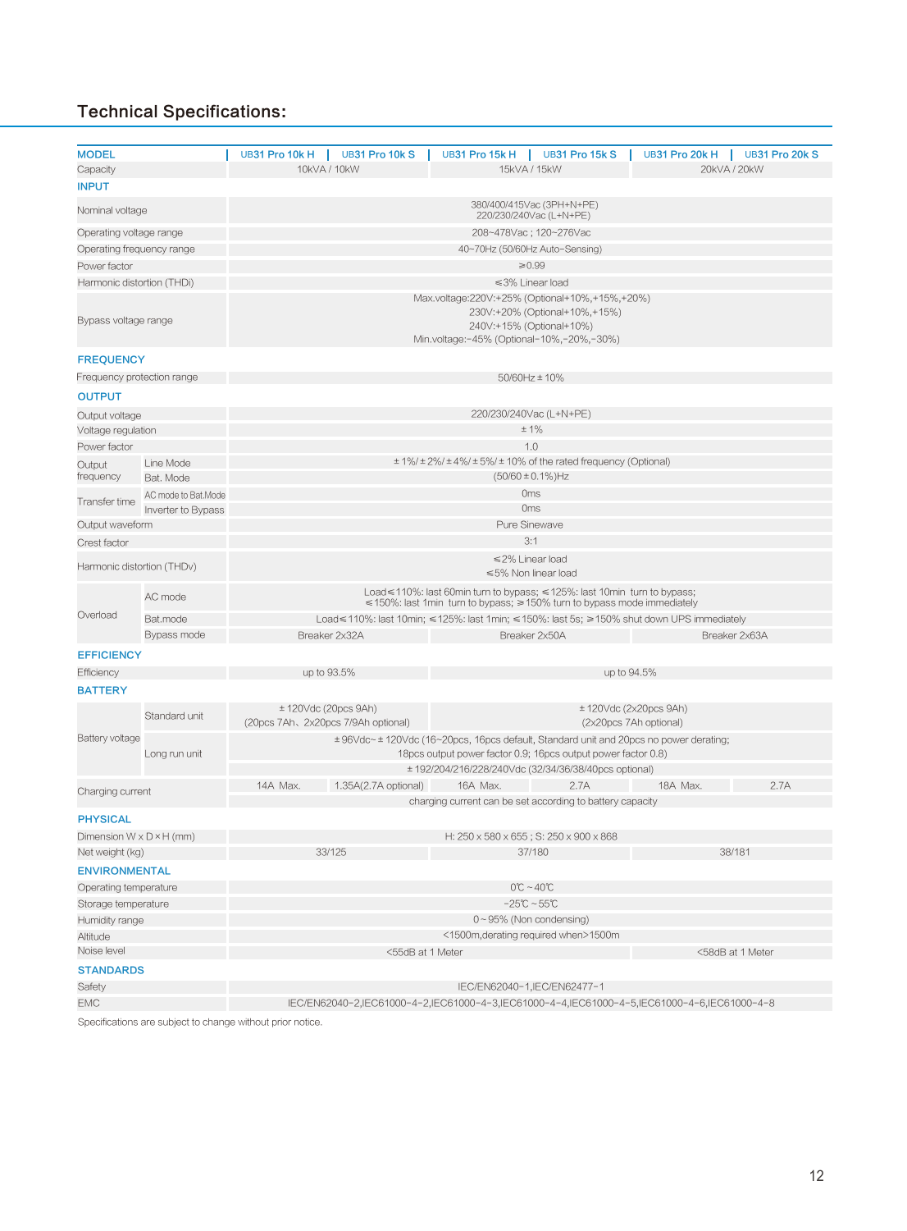| <b>MODEL</b>                         |                     | UB31 Pro 10k H                                                                                                                                                 | UB31 Pro 10k S                                              | UB31 Pro 15k H                                                                                                                                                                                                | UB31 Pro 15k S         | UB31 Pro 20k H         | UB31 Pro 20k S |  |  |  |
|--------------------------------------|---------------------|----------------------------------------------------------------------------------------------------------------------------------------------------------------|-------------------------------------------------------------|---------------------------------------------------------------------------------------------------------------------------------------------------------------------------------------------------------------|------------------------|------------------------|----------------|--|--|--|
| Capacity                             |                     | 10kVA / 10kW<br>15kVA / 15kW<br>20kVA / 20kW                                                                                                                   |                                                             |                                                                                                                                                                                                               |                        |                        |                |  |  |  |
| <b>INPUT</b>                         |                     |                                                                                                                                                                |                                                             |                                                                                                                                                                                                               |                        |                        |                |  |  |  |
| Nominal voltage                      |                     | 380/400/415Vac (3PH+N+PE)<br>220/230/240Vac (L+N+PE)                                                                                                           |                                                             |                                                                                                                                                                                                               |                        |                        |                |  |  |  |
| Operating voltage range              |                     | 208~478Vac; 120~276Vac                                                                                                                                         |                                                             |                                                                                                                                                                                                               |                        |                        |                |  |  |  |
| Operating frequency range            |                     |                                                                                                                                                                |                                                             | 40~70Hz (50/60Hz Auto-Sensing)                                                                                                                                                                                |                        |                        |                |  |  |  |
| Power factor                         |                     | $\geq 0.99$                                                                                                                                                    |                                                             |                                                                                                                                                                                                               |                        |                        |                |  |  |  |
| Harmonic distortion (THDi)           |                     | ≤3% Linear load                                                                                                                                                |                                                             |                                                                                                                                                                                                               |                        |                        |                |  |  |  |
| Bypass voltage range                 |                     | Max.voltage:220V:+25% (Optional+10%,+15%,+20%)<br>230V:+20% (Optional+10%,+15%)<br>240V:+15% (Optional+10%)<br>Min.voltage:-45% (Optional-10%,-20%,-30%)       |                                                             |                                                                                                                                                                                                               |                        |                        |                |  |  |  |
| <b>FREQUENCY</b>                     |                     |                                                                                                                                                                |                                                             |                                                                                                                                                                                                               |                        |                        |                |  |  |  |
| Frequency protection range           |                     | 50/60Hz ± 10%                                                                                                                                                  |                                                             |                                                                                                                                                                                                               |                        |                        |                |  |  |  |
| <b>OUTPUT</b>                        |                     |                                                                                                                                                                |                                                             |                                                                                                                                                                                                               |                        |                        |                |  |  |  |
| Output voltage                       |                     |                                                                                                                                                                |                                                             | 220/230/240Vac (L+N+PE)                                                                                                                                                                                       |                        |                        |                |  |  |  |
| Voltage regulation                   |                     |                                                                                                                                                                |                                                             |                                                                                                                                                                                                               | $± 1\%$                |                        |                |  |  |  |
| Power factor                         |                     |                                                                                                                                                                |                                                             |                                                                                                                                                                                                               | 1.0                    |                        |                |  |  |  |
| Output                               | Line Mode           |                                                                                                                                                                |                                                             | $\pm$ 1%/ $\pm$ 2%/ $\pm$ 4%/ $\pm$ 5%/ $\pm$ 10% of the rated frequency (Optional)                                                                                                                           |                        |                        |                |  |  |  |
| frequency                            | Bat, Mode           |                                                                                                                                                                |                                                             |                                                                                                                                                                                                               | $(50/60 \pm 0.1\%)$ Hz |                        |                |  |  |  |
| Transfer time                        | AC mode to Bat.Mode |                                                                                                                                                                |                                                             |                                                                                                                                                                                                               | <b>Oms</b>             |                        |                |  |  |  |
|                                      | Inverter to Bypass  | 0 <sub>ms</sub>                                                                                                                                                |                                                             |                                                                                                                                                                                                               |                        |                        |                |  |  |  |
| Output waveform                      |                     | Pure Sinewave                                                                                                                                                  |                                                             |                                                                                                                                                                                                               |                        |                        |                |  |  |  |
| Crest factor                         |                     | 3:1                                                                                                                                                            |                                                             |                                                                                                                                                                                                               |                        |                        |                |  |  |  |
| Harmonic distortion (THDv)           |                     | ≤2% Linear load<br>≤5% Non linear load                                                                                                                         |                                                             |                                                                                                                                                                                                               |                        |                        |                |  |  |  |
| Overload                             | AC mode             | Load $\leq$ 110%: last 60min turn to bypass; $\leq$ 125%: last 10min turn to bypass;<br>≤150%: last 1min turn to bypass; ≥150% turn to bypass mode immediately |                                                             |                                                                                                                                                                                                               |                        |                        |                |  |  |  |
|                                      | Bat.mode            | Load≤110%: last 10min; ≤125%: last 1min; ≤150%: last 5s; ≥150% shut down UPS immediately                                                                       |                                                             |                                                                                                                                                                                                               |                        |                        |                |  |  |  |
|                                      | Bypass mode         |                                                                                                                                                                | Breaker 2x32A                                               | Breaker 2x50A                                                                                                                                                                                                 |                        | Breaker 2x63A          |                |  |  |  |
| <b>EFFICIENCY</b>                    |                     |                                                                                                                                                                |                                                             |                                                                                                                                                                                                               |                        |                        |                |  |  |  |
| Efficiency                           |                     |                                                                                                                                                                | up to 93.5%                                                 |                                                                                                                                                                                                               | up to 94.5%            |                        |                |  |  |  |
| <b>BATTERY</b>                       |                     |                                                                                                                                                                |                                                             |                                                                                                                                                                                                               |                        |                        |                |  |  |  |
|                                      | Standard unit       |                                                                                                                                                                | ± 120Vdc (20pcs 9Ah)<br>(20pcs 7Ah, 2x20pcs 7/9Ah optional) |                                                                                                                                                                                                               | (2x20pcs 7Ah optional) | ± 120Vdc (2x20pcs 9Ah) |                |  |  |  |
| <b>Battery voltage</b>               | Long run unit       |                                                                                                                                                                |                                                             | ±96Vdc~±120Vdc (16~20pcs, 16pcs default, Standard unit and 20pcs no power derating;<br>18pcs output power factor 0.9; 16pcs output power factor 0.8)<br>± 192/204/216/228/240Vdc (32/34/36/38/40pcs optional) |                        |                        |                |  |  |  |
|                                      |                     | 14A Max.                                                                                                                                                       | 1.35A(2.7A optional)                                        | 16A Max.                                                                                                                                                                                                      | 2.7A                   | 18A Max.               | 2.7A           |  |  |  |
| Charging current                     |                     |                                                                                                                                                                |                                                             | charging current can be set according to battery capacity                                                                                                                                                     |                        |                        |                |  |  |  |
| <b>PHYSICAL</b>                      |                     |                                                                                                                                                                |                                                             |                                                                                                                                                                                                               |                        |                        |                |  |  |  |
| Dimension $W \times D \times H$ (mm) |                     |                                                                                                                                                                |                                                             | H: 250 x 580 x 655; S: 250 x 900 x 868                                                                                                                                                                        |                        |                        |                |  |  |  |
| Net weight (kg)                      |                     |                                                                                                                                                                | 33/125                                                      | 37/180                                                                                                                                                                                                        |                        | 38/181                 |                |  |  |  |
| <b>ENVIRONMENTAL</b>                 |                     |                                                                                                                                                                |                                                             |                                                                                                                                                                                                               |                        |                        |                |  |  |  |
| Operating temperature                |                     | $0^{\circ}$ C ~ 40 $^{\circ}$ C                                                                                                                                |                                                             |                                                                                                                                                                                                               |                        |                        |                |  |  |  |
| Storage temperature                  |                     | $-25^{\circ}\text{C}$ ~ 55 $^{\circ}\text{C}$                                                                                                                  |                                                             |                                                                                                                                                                                                               |                        |                        |                |  |  |  |
| Humidity range                       |                     | 0~95% (Non condensing)                                                                                                                                         |                                                             |                                                                                                                                                                                                               |                        |                        |                |  |  |  |
| Altitude                             |                     | <1500m, derating required when>1500m                                                                                                                           |                                                             |                                                                                                                                                                                                               |                        |                        |                |  |  |  |
| Noise level                          |                     | <55dB at 1 Meter<br><58dB at 1 Meter                                                                                                                           |                                                             |                                                                                                                                                                                                               |                        |                        |                |  |  |  |
| <b>STANDARDS</b>                     |                     |                                                                                                                                                                |                                                             |                                                                                                                                                                                                               |                        |                        |                |  |  |  |
| Safety                               |                     | IEC/EN62040-1, IEC/EN62477-1                                                                                                                                   |                                                             |                                                                                                                                                                                                               |                        |                        |                |  |  |  |
| <b>EMC</b>                           |                     | IEC/EN62040-2,IEC61000-4-2,IEC61000-4-3,IEC61000-4-4,IEC61000-4-5,IEC61000-4-6,IEC61000-4-8                                                                    |                                                             |                                                                                                                                                                                                               |                        |                        |                |  |  |  |

Specifications are subject to change without prior notice.